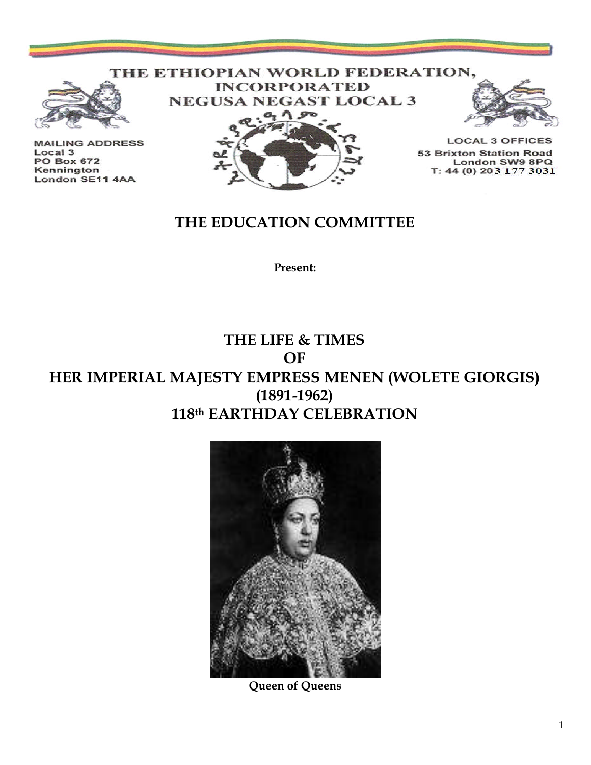### THE ETHIOPIAN WORLD FEDERATION, **INCORPORATED**



**MAILING ADDRESS** Local 3 **PO Box 672** Kennington London SE11 4AA





**LOCAL 3 OFFICES 53 Brixton Station Road** London SW9 8PQ T: 44 (0) 203 177 3031

## **THE EDUCATION COMMITTEE**

**Present:**

## **THE LIFE & TIMES OF HER IMPERIAL MAJESTY EMPRESS MENEN (WOLETE GIORGIS) (1891-1962) 118th EARTHDAY CELEBRATION**



**Queen of Queens**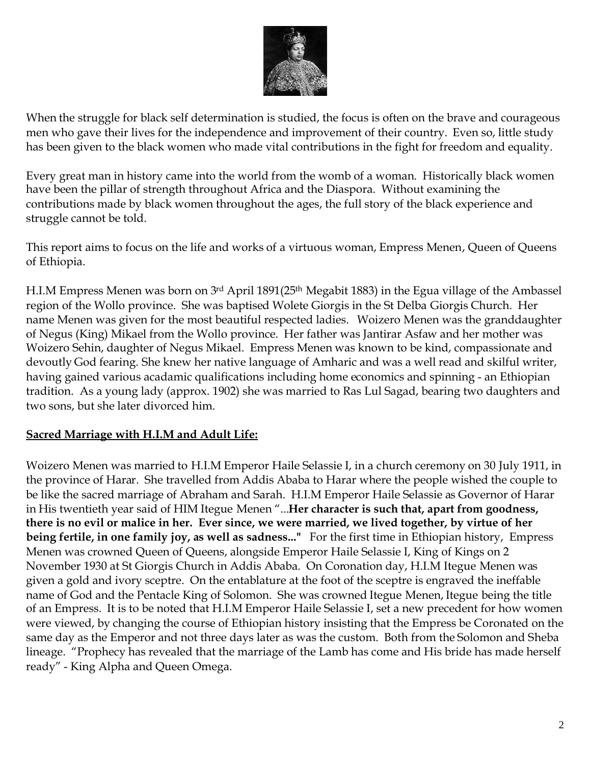

When the struggle for black self determination is studied, the focus is often on the brave and courageous men who gave their lives for the independence and improvement of their country. Even so, little study has been given to the black women who made vital contributions in the fight for freedom and equality.

Every great man in history came into the world from the womb of a woman. Historically black women have been the pillar of strength throughout Africa and the Diaspora. Without examining the contributions made by black women throughout the ages, the full story of the black experience and struggle cannot be told.

This report aims to focus on the life and works of a virtuous woman, Empress Menen, Queen of Queens of Ethiopia.

H.I.M Empress Menen was born on 3rd April 1891(25<sup>th</sup> Megabit 1883) in the Egua village of the Ambassel region of the Wollo province. She was baptised Wolete Giorgis in the St Delba Giorgis Church. Her name Menen was given for the most beautiful respected ladies. Woizero Menen was the granddaughter of Negus (King) Mikael from the Wollo province. Her father was Jantirar Asfaw and her mother was Woizero Sehin, daughter of Negus Mikael. Empress Menen was known to be kind, compassionate and devoutly God fearing. She knew her native language of Amharic and was a well read and skilful writer, having gained various acadamic qualifications including home economics and spinning - an Ethiopian tradition. As a young lady (approx. 1902) she was married to Ras Lul Sagad, bearing two daughters and two sons, but she later divorced him.

#### **Sacred Marriage with H.I.M and Adult Life:**

Woizero Menen was married to H.I.M Emperor Haile Selassie I, in a church ceremony on 30 July 1911, in the province of Harar. She travelled from Addis Ababa to Harar where the people wished the couple to be like the sacred marriage of Abraham and Sarah. H.I.M Emperor Haile Selassie as Governor of Harar in His twentieth year said of HIM Itegue Menen "...**Her character is such that, apart from goodness, there is no evil or malice in her. Ever since, we were married, we lived together, by virtue of her being fertile, in one family joy, as well as sadness..."** For the first time in Ethiopian history, Empress Menen was crowned Queen of Queens, alongside Emperor Haile Selassie I, King of Kings on 2 November 1930 at St Giorgis Church in Addis Ababa. On Coronation day, H.I.M Itegue Menen was given a gold and ivory sceptre. On the entablature at the foot of the sceptre is engraved the ineffable name of God and the Pentacle King of Solomon. She was crowned Itegue Menen, Itegue being the title of an Empress. It is to be noted that H.I.M Emperor Haile Selassie I, set a new precedent for how women were viewed, by changing the course of Ethiopian history insisting that the Empress be Coronated on the same day as the Emperor and not three days later as was the custom. Both from the Solomon and Sheba lineage. "Prophecy has revealed that the marriage of the Lamb has come and His bride has made herself ready" - King Alpha and Queen Omega.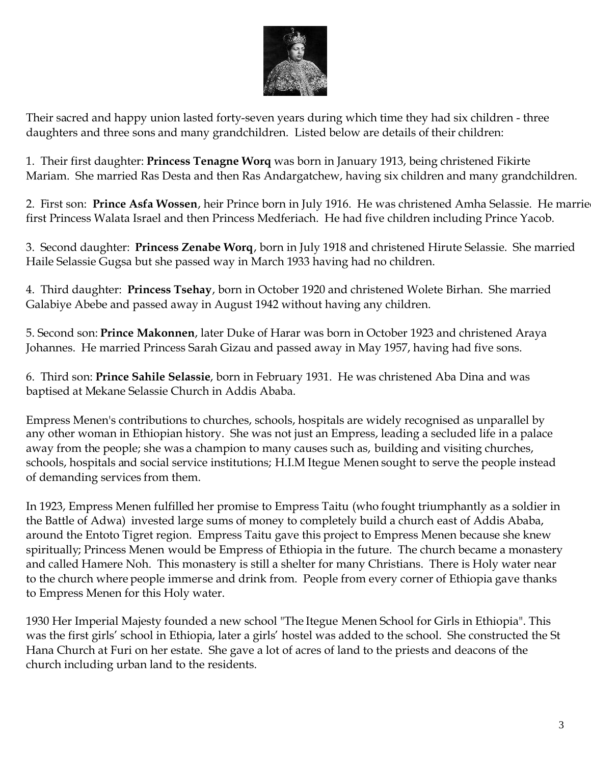

Their sacred and happy union lasted forty-seven years during which time they had six children - three daughters and three sons and many grandchildren. Listed below are details of their children:

1. Their first daughter: **Princess Tenagne Worq** was born in January 1913, being christened Fikirte Mariam. She married Ras Desta and then Ras Andargatchew, having six children and many grandchildren.

2. First son: Prince Asfa Wossen, heir Prince born in July 1916. He was christened Amha Selassie. He marrie first Princess Walata Israel and then Princess Medferiach. He had five children including Prince Yacob.

3. Second daughter: **Princess Zenabe Worq**, born in July 1918 and christened Hirute Selassie. She married Haile Selassie Gugsa but she passed way in March 1933 having had no children.

4. Third daughter: **Princess Tsehay**, born in October 1920 and christened Wolete Birhan. She married Galabiye Abebe and passed away in August 1942 without having any children.

5. Second son: **Prince Makonnen**, later Duke of Harar was born in October 1923 and christened Araya Johannes. He married Princess Sarah Gizau and passed away in May 1957, having had five sons.

6. Third son: **Prince Sahile Selassie**, born in February 1931. He was christened Aba Dina and was baptised at Mekane Selassie Church in Addis Ababa.

Empress Menen's contributions to churches, schools, hospitals are widely recognised as unparallel by any other woman in Ethiopian history. She was not just an Empress, leading a secluded life in a palace away from the people; she was a champion to many causes such as, building and visiting churches, schools, hospitals and social service institutions; H.I.M Itegue Menen sought to serve the people instead of demanding services from them.

In 1923, Empress Menen fulfilled her promise to Empress Taitu (who fought triumphantly as a soldier in the Battle of Adwa) invested large sums of money to completely build a church east of Addis Ababa, around the Entoto Tigret region. Empress Taitu gave this project to Empress Menen because she knew spiritually; Princess Menen would be Empress of Ethiopia in the future. The church became a monastery and called Hamere Noh. This monastery is still a shelter for many Christians. There is Holy water near to the church where people immerse and drink from. People from every corner of Ethiopia gave thanks to Empress Menen for this Holy water.

1930 Her Imperial Majesty founded a new school "The Itegue Menen School for Girls in Ethiopia". This was the first girls' school in Ethiopia, later a girls' hostel was added to the school. She constructed the St Hana Church at Furi on her estate. She gave a lot of acres of land to the priests and deacons of the church including urban land to the residents.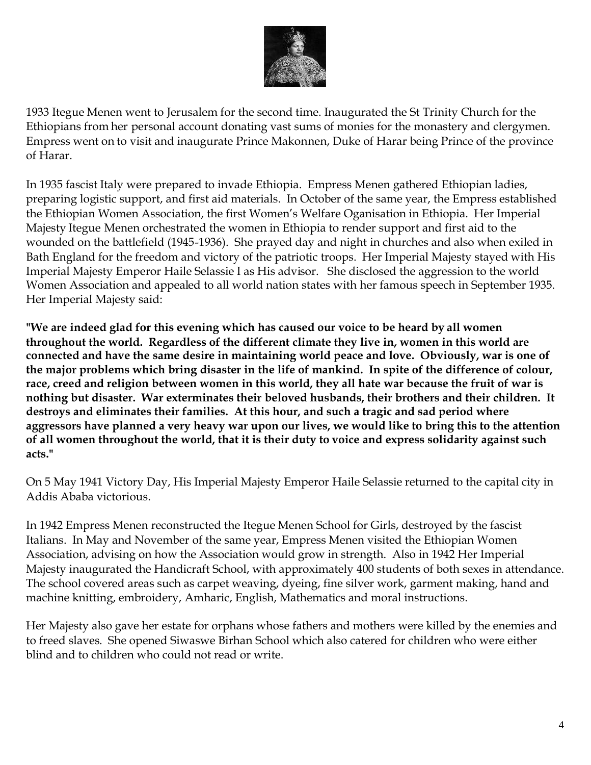

1933 Itegue Menen went to Jerusalem for the second time. Inaugurated the St Trinity Church for the Ethiopians from her personal account donating vast sums of monies for the monastery and clergymen. Empress went on to visit and inaugurate Prince Makonnen, Duke of Harar being Prince of the province of Harar.

In 1935 fascist Italy were prepared to invade Ethiopia. Empress Menen gathered Ethiopian ladies, preparing logistic support, and first aid materials. In October of the same year, the Empress established the Ethiopian Women Association, the first Women's Welfare Oganisation in Ethiopia. Her Imperial Majesty Itegue Menen orchestrated the women in Ethiopia to render support and first aid to the wounded on the battlefield (1945-1936). She prayed day and night in churches and also when exiled in Bath England for the freedom and victory of the patriotic troops. Her Imperial Majesty stayed with His Imperial Majesty Emperor Haile Selassie I as His advisor. She disclosed the aggression to the world Women Association and appealed to all world nation states with her famous speech in September 1935. Her Imperial Majesty said:

**"We are indeed glad for this evening which has caused our voice to be heard by all women throughout the world. Regardless of the different climate they live in, women in this world are connected and have the same desire in maintaining world peace and love. Obviously, war is one of the major problems which bring disaster in the life of mankind. In spite of the difference of colour, race, creed and religion between women in this world, they all hate war because the fruit of war is nothing but disaster. War exterminates their beloved husbands, their brothers and their children. It destroys and eliminates their families. At this hour, and such a tragic and sad period where aggressors have planned a very heavy war upon our lives, we would like to bring this to the attention of all women throughout the world, that it is their duty to voice and express solidarity against such acts."**

On 5 May 1941 Victory Day, His Imperial Majesty Emperor Haile Selassie returned to the capital city in Addis Ababa victorious.

In 1942 Empress Menen reconstructed the Itegue Menen School for Girls, destroyed by the fascist Italians. In May and November of the same year, Empress Menen visited the Ethiopian Women Association, advising on how the Association would grow in strength. Also in 1942 Her Imperial Majesty inaugurated the Handicraft School, with approximately 400 students of both sexes in attendance. The school covered areas such as carpet weaving, dyeing, fine silver work, garment making, hand and machine knitting, embroidery, Amharic, English, Mathematics and moral instructions.

Her Majesty also gave her estate for orphans whose fathers and mothers were killed by the enemies and to freed slaves. She opened Siwaswe Birhan School which also catered for children who were either blind and to children who could not read or write.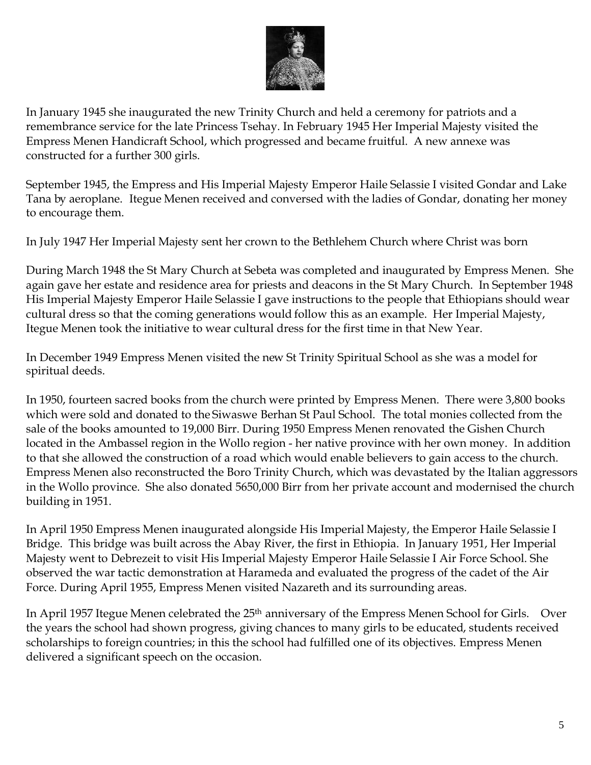

In January 1945 she inaugurated the new Trinity Church and held a ceremony for patriots and a remembrance service for the late Princess Tsehay. In February 1945 Her Imperial Majesty visited the Empress Menen Handicraft School, which progressed and became fruitful. A new annexe was constructed for a further 300 girls.

September 1945, the Empress and His Imperial Majesty Emperor Haile Selassie I visited Gondar and Lake Tana by aeroplane. Itegue Menen received and conversed with the ladies of Gondar, donating her money to encourage them.

In July 1947 Her Imperial Majesty sent her crown to the Bethlehem Church where Christ was born

During March 1948 the St Mary Church at Sebeta was completed and inaugurated by Empress Menen. She again gave her estate and residence area for priests and deacons in the St Mary Church. In September 1948 His Imperial Majesty Emperor Haile Selassie I gave instructions to the people that Ethiopians should wear cultural dress so that the coming generations would follow this as an example. Her Imperial Majesty, Itegue Menen took the initiative to wear cultural dress for the first time in that New Year.

In December 1949 Empress Menen visited the new St Trinity Spiritual School as she was a model for spiritual deeds.

In 1950, fourteen sacred books from the church were printed by Empress Menen. There were 3,800 books which were sold and donated to the Siwaswe Berhan St Paul School. The total monies collected from the sale of the books amounted to 19,000 Birr. During 1950 Empress Menen renovated the Gishen Church located in the Ambassel region in the Wollo region - her native province with her own money. In addition to that she allowed the construction of a road which would enable believers to gain access to the church. Empress Menen also reconstructed the Boro Trinity Church, which was devastated by the Italian aggressors in the Wollo province. She also donated 5650,000 Birr from her private account and modernised the church building in 1951.

In April 1950 Empress Menen inaugurated alongside His Imperial Majesty, the Emperor Haile Selassie I Bridge. This bridge was built across the Abay River, the first in Ethiopia. In January 1951, Her Imperial Majesty went to Debrezeit to visit His Imperial Majesty Emperor Haile Selassie I Air Force School. She observed the war tactic demonstration at Harameda and evaluated the progress of the cadet of the Air Force. During April 1955, Empress Menen visited Nazareth and its surrounding areas.

In April 1957 Itegue Menen celebrated the 25<sup>th</sup> anniversary of the Empress Menen School for Girls. Over the years the school had shown progress, giving chances to many girls to be educated, students received scholarships to foreign countries; in this the school had fulfilled one of its objectives. Empress Menen delivered a significant speech on the occasion.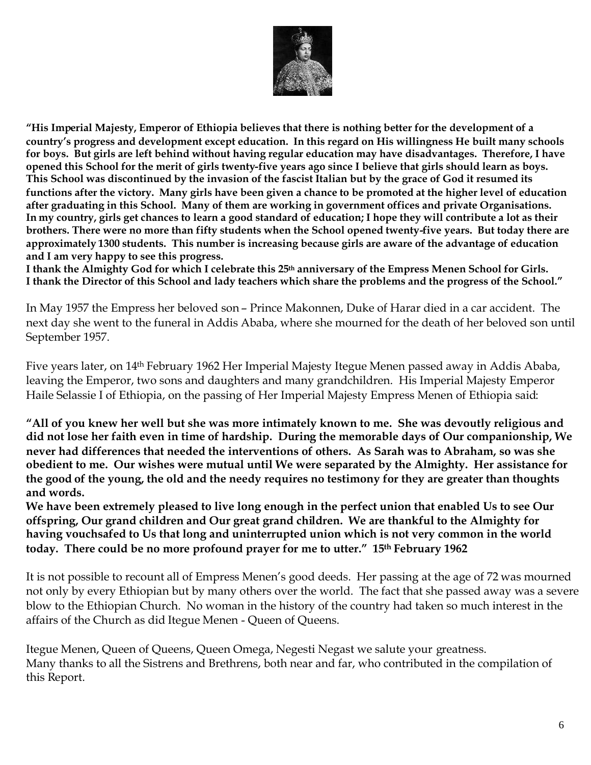

**"His Imperial Majesty, Emperor of Ethiopia believes that there is nothing better for the development of a country's progress and development except education. In this regard on His willingness He built many schools for boys. But girls are left behind without having regular education may have disadvantages. Therefore, I have opened this School for the merit of girls twenty-five years ago since I believe that girls should learn as boys. This School was discontinued by the invasion of the fascist Italian but by the grace of God it resumed its functions after the victory. Many girls have been given a chance to be promoted at the higher level of education after graduating in this School. Many of them are working in government offices and private Organisations. In my country, girls get chances to learn a good standard of education; I hope they will contribute a lot as their brothers. There were no more than fifty students when the School opened twenty-five years. But today there are approximately 1300 students. This number is increasing because girls are aware of the advantage of education and I am very happy to see this progress.**

**I thank the Almighty God for which I celebrate this 25th anniversary of the Empress Menen School for Girls. I thank the Director of this School and lady teachers which share the problems and the progress of the School."**

In May 1957 the Empress her beloved son – Prince Makonnen, Duke of Harar died in a car accident. The next day she went to the funeral in Addis Ababa, where she mourned for the death of her beloved son until September 1957.

Five years later, on 14th February 1962 Her Imperial Majesty Itegue Menen passed away in Addis Ababa, leaving the Emperor, two sons and daughters and many grandchildren. His Imperial Majesty Emperor Haile Selassie I of Ethiopia, on the passing of Her Imperial Majesty Empress Menen of Ethiopia said:

**"All of you knew her well but she was more intimately known to me. She was devoutly religious and did not lose her faith even in time of hardship. During the memorable days of Our companionship, We never had differences that needed the interventions of others. As Sarah was to Abraham, so was she obedient to me. Our wishes were mutual until We were separated by the Almighty. Her assistance for the good of the young, the old and the needy requires no testimony for they are greater than thoughts and words.**

**We have been extremely pleased to live long enough in the perfect union that enabled Us to see Our offspring, Our grand children and Our great grand children. We are thankful to the Almighty for having vouchsafed to Us that long and uninterrupted union which is not very common in the world today. There could be no more profound prayer for me to utter." 15th February 1962**

It is not possible to recount all of Empress Menen's good deeds. Her passing at the age of 72 was mourned not only by every Ethiopian but by many others over the world. The fact that she passed away was a severe blow to the Ethiopian Church. No woman in the history of the country had taken so much interest in the affairs of the Church as did Itegue Menen - Queen of Queens.

Itegue Menen, Queen of Queens, Queen Omega, Negesti Negast we salute your greatness. Many thanks to all the Sistrens and Brethrens, both near and far, who contributed in the compilation of this Report.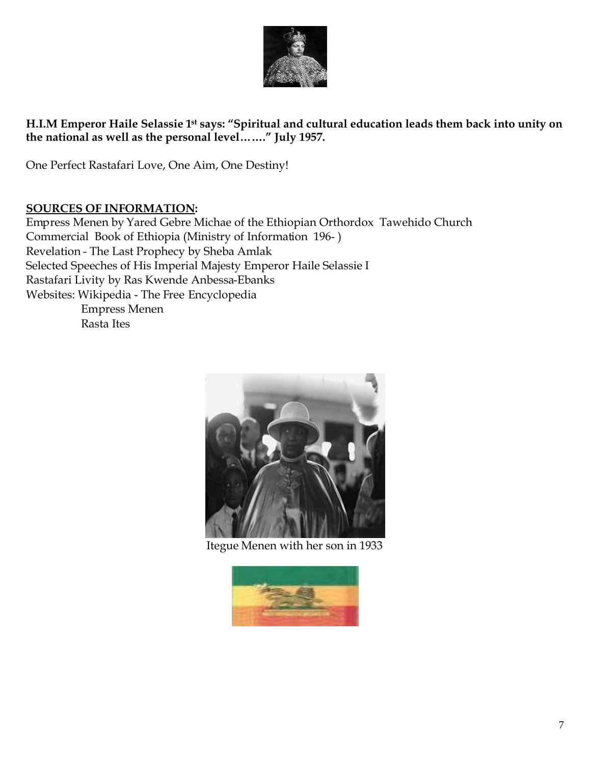

#### **H.I.M Emperor Haile Selassie 1st says: "Spiritual and cultural education leads them back into unity on the national as well as the personal level……." July 1957.**

One Perfect Rastafari Love, One Aim, One Destiny!

#### **SOURCES OF INFORMATION:**

Empress Menen by Yared Gebre Michae of the Ethiopian Orthordox Tawehido Church Commercial Book of Ethiopia (Ministry of Information 196- ) Revelation - The Last Prophecy by Sheba Amlak Selected Speeches of His Imperial Majesty Emperor Haile Selassie I Rastafari Livity by Ras Kwende Anbessa-Ebanks Websites: Wikipedia - The Free Encyclopedia Empress Menen Rasta Ites

Itegue Menen with her son in 1933